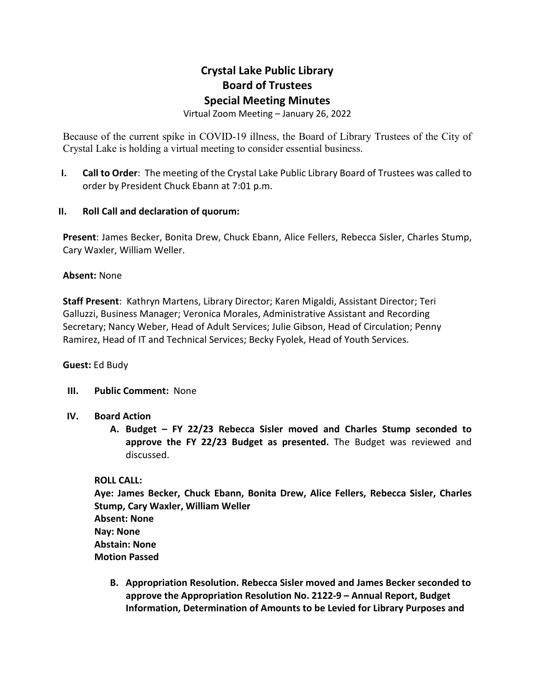# **Crystal Lake Public Library Board of Trustees Special Meeting Minutes**

Virtual Zoom Meeting – January 26, 2022

Because of the current spike in COVID-19 illness, the Board of Library Trustees of the City of Crystal Lake is holding a virtual meeting to consider essential business.

**I. Call to Order**: The meeting of the Crystal Lake Public Library Board of Trustees was called to order by President Chuck Ebann at 7:01 p.m.

## **II. Roll Call and declaration of quorum:**

**Present**: James Becker, Bonita Drew, Chuck Ebann, Alice Fellers, Rebecca Sisler, Charles Stump, Cary Waxler, William Weller.

### **Absent:** None

**Staff Present**: Kathryn Martens, Library Director; Karen Migaldi, Assistant Director; Teri Galluzzi, Business Manager; Veronica Morales, Administrative Assistant and Recording Secretary; Nancy Weber, Head of Adult Services; Julie Gibson, Head of Circulation; Penny Ramirez, Head of IT and Technical Services; Becky Fyolek, Head of Youth Services.

### **Guest:** Ed Budy

- **III. Public Comment:** None
- **IV. Board Action**
	- **A. Budget – FY 22/23 Rebecca Sisler moved and Charles Stump seconded to approve the FY 22/23 Budget as presented.** The Budget was reviewed and discussed.

## **ROLL CALL:**

**Aye: James Becker, Chuck Ebann, Bonita Drew, Alice Fellers, Rebecca Sisler, Charles Stump, Cary Waxler, William Weller Absent: None Nay: None Abstain: None Motion Passed**

**B. Appropriation Resolution. Rebecca Sisler moved and James Becker seconded to approve the Appropriation Resolution No. 2122-9 – Annual Report, Budget Information, Determination of Amounts to be Levied for Library Purposes and**